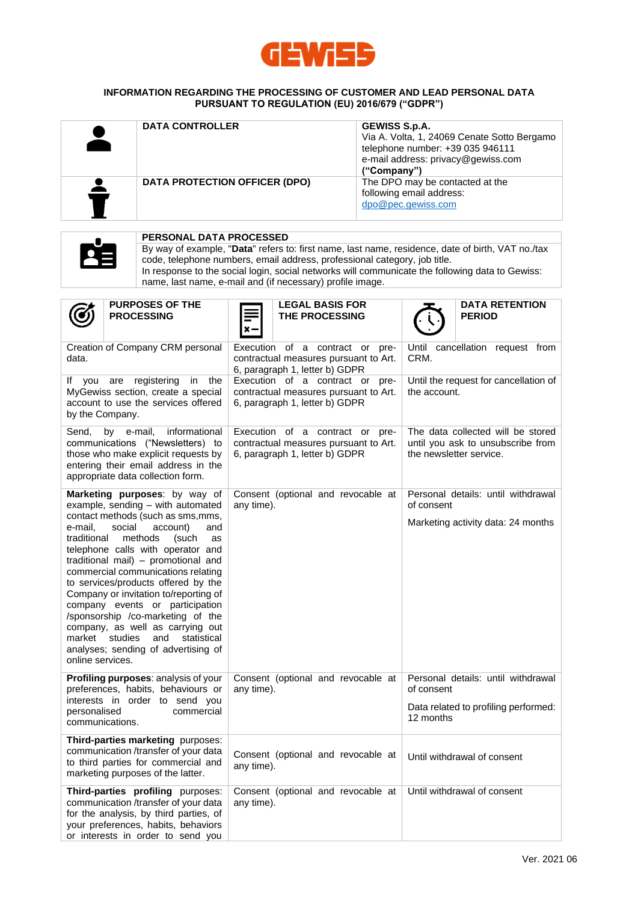

### **INFORMATION REGARDING THE PROCESSING OF CUSTOMER AND LEAD PERSONAL DATA PURSUANT TO REGULATION (EU) 2016/679 ("GDPR")**

| <b>DATA CONTROLLER</b>                                                                                                                                                                                                                                                                                                                                                                                                                                                                                                                                                                                                                                                                                                                                                      |  | <b>DATA PROTECTION OFFICER (DPO)</b>                                                                                                                                     |                                                                                                                                                                                                                                                                                                                                                                                            |                                          | GEWISS S.p.A.<br>Via A. Volta, 1, 24069 Cenate Sotto Bergamo<br>telephone number: +39 035 946111<br>e-mail address: privacy@gewiss.com<br>("Company")<br>The DPO may be contacted at the<br>following email address:<br>dpo@pec.gewiss.com |                                                                                                                                                                                                                                                                                                 |                                                                                                                                                                                                      |
|-----------------------------------------------------------------------------------------------------------------------------------------------------------------------------------------------------------------------------------------------------------------------------------------------------------------------------------------------------------------------------------------------------------------------------------------------------------------------------------------------------------------------------------------------------------------------------------------------------------------------------------------------------------------------------------------------------------------------------------------------------------------------------|--|--------------------------------------------------------------------------------------------------------------------------------------------------------------------------|--------------------------------------------------------------------------------------------------------------------------------------------------------------------------------------------------------------------------------------------------------------------------------------------------------------------------------------------------------------------------------------------|------------------------------------------|--------------------------------------------------------------------------------------------------------------------------------------------------------------------------------------------------------------------------------------------|-------------------------------------------------------------------------------------------------------------------------------------------------------------------------------------------------------------------------------------------------------------------------------------------------|------------------------------------------------------------------------------------------------------------------------------------------------------------------------------------------------------|
|                                                                                                                                                                                                                                                                                                                                                                                                                                                                                                                                                                                                                                                                                                                                                                             |  | <b>PERSONAL DATA PROCESSED</b><br>code, telephone numbers, email address, professional category, job title.<br>name, last name, e-mail and (if necessary) profile image. |                                                                                                                                                                                                                                                                                                                                                                                            |                                          |                                                                                                                                                                                                                                            |                                                                                                                                                                                                                                                                                                 | By way of example, "Data" refers to: first name, last name, residence, date of birth, VAT no./tax<br>In response to the social login, social networks will communicate the following data to Gewiss: |
|                                                                                                                                                                                                                                                                                                                                                                                                                                                                                                                                                                                                                                                                                                                                                                             |  | <b>PURPOSES OF THE</b><br><b>PROCESSING</b>                                                                                                                              | ×-                                                                                                                                                                                                                                                                                                                                                                                         | <b>LEGAL BASIS FOR</b><br>THE PROCESSING |                                                                                                                                                                                                                                            |                                                                                                                                                                                                                                                                                                 | <b>DATA RETENTION</b><br><b>PERIOD</b>                                                                                                                                                               |
| Creation of Company CRM personal<br>data.<br>If you are registering<br>in the<br>MyGewiss section, create a special<br>account to use the services offered<br>by the Company.<br>by e-mail,<br>informational<br>Send,<br>communications ("Newsletters) to<br>those who make explicit requests by<br>entering their email address in the<br>appropriate data collection form.<br>Marketing purposes: by way of<br>example, sending - with automated<br>contact methods (such as sms, mms,<br>e-mail,<br>social<br>account)<br>and<br>traditional<br>methods<br>(such<br>as<br>telephone calls with operator and<br>traditional mail) - promotional and<br>commercial communications relating<br>to services/products offered by the<br>Company or invitation to/reporting of |  |                                                                                                                                                                          | Execution of a contract or pre-<br>contractual measures pursuant to Art.<br>6, paragraph 1, letter b) GDPR<br>Execution of a contract or pre-<br>contractual measures pursuant to Art.<br>6, paragraph 1, letter b) GDPR<br>Execution of a contract or pre-<br>contractual measures pursuant to Art.<br>6, paragraph 1, letter b) GDPR<br>Consent (optional and revocable at<br>any time). |                                          |                                                                                                                                                                                                                                            | Until cancellation request from<br>CRM.<br>Until the request for cancellation of<br>the account.<br>The data collected will be stored<br>until you ask to unsubscribe from<br>the newsletter service.<br>Personal details: until withdrawal<br>of consent<br>Marketing activity data: 24 months |                                                                                                                                                                                                      |
| company events or participation<br>/sponsorship /co-marketing of the<br>company, as well as carrying out<br>market<br>studies<br>and<br>statistical<br>analyses; sending of advertising of<br>online services.<br>Profiling purposes: analysis of your<br>preferences, habits, behaviours or<br>interests in order to send you<br>personalised<br>commercial<br>communications.                                                                                                                                                                                                                                                                                                                                                                                             |  |                                                                                                                                                                          | Consent (optional and revocable at<br>any time).                                                                                                                                                                                                                                                                                                                                           |                                          |                                                                                                                                                                                                                                            | of consent<br>12 months                                                                                                                                                                                                                                                                         | Personal details: until withdrawal<br>Data related to profiling performed:                                                                                                                           |
| Third-parties marketing purposes:<br>communication /transfer of your data<br>to third parties for commercial and<br>marketing purposes of the latter.                                                                                                                                                                                                                                                                                                                                                                                                                                                                                                                                                                                                                       |  |                                                                                                                                                                          | Consent (optional and revocable at<br>any time).                                                                                                                                                                                                                                                                                                                                           |                                          |                                                                                                                                                                                                                                            |                                                                                                                                                                                                                                                                                                 | Until withdrawal of consent                                                                                                                                                                          |
| Third-parties profiling purposes:<br>communication /transfer of your data<br>for the analysis, by third parties, of<br>your preferences, habits, behaviors<br>or interests in order to send you                                                                                                                                                                                                                                                                                                                                                                                                                                                                                                                                                                             |  |                                                                                                                                                                          | Consent (optional and revocable at<br>any time).                                                                                                                                                                                                                                                                                                                                           |                                          |                                                                                                                                                                                                                                            |                                                                                                                                                                                                                                                                                                 | Until withdrawal of consent                                                                                                                                                                          |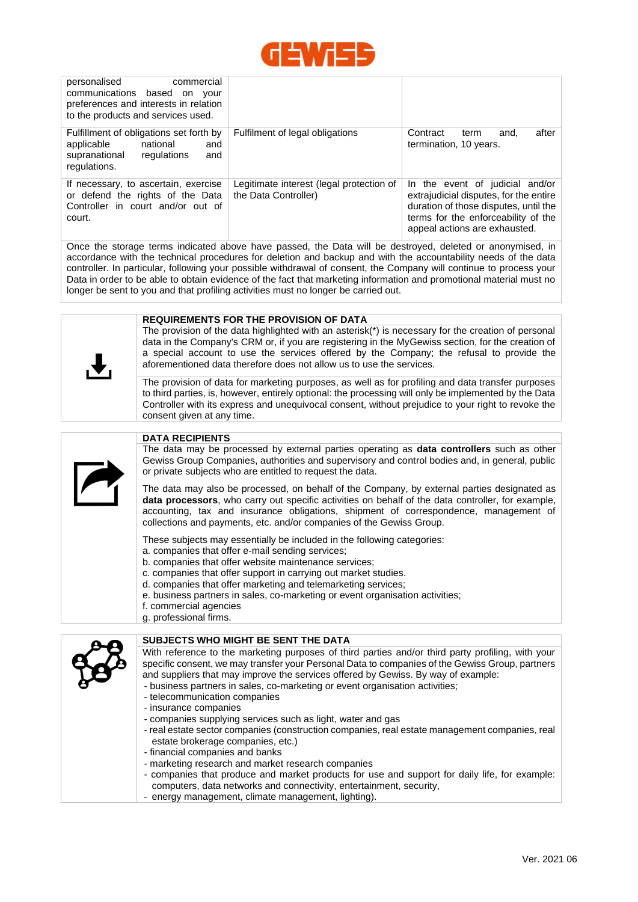

| personalised<br>commercial<br>communications based on<br>vour<br>preferences and interests in relation<br>to the products and services used. |                                                                  |                                                                                                                                                                                            |  |
|----------------------------------------------------------------------------------------------------------------------------------------------|------------------------------------------------------------------|--------------------------------------------------------------------------------------------------------------------------------------------------------------------------------------------|--|
| Fulfillment of obligations set forth by<br>applicable<br>national<br>and<br>supranational<br>regulations<br>and<br>regulations.              | Fulfilment of legal obligations                                  | after<br>Contract<br>and.<br>term<br>termination, 10 years.                                                                                                                                |  |
| If necessary, to ascertain, exercise<br>or defend the rights of the Data<br>Controller in court and/or out of<br>court.                      | Legitimate interest (legal protection of<br>the Data Controller) | In the event of judicial and/or<br>extrajudicial disputes, for the entire<br>duration of those disputes, until the<br>terms for the enforceability of the<br>appeal actions are exhausted. |  |

Once the storage terms indicated above have passed, the Data will be destroyed, deleted or anonymised, in accordance with the technical procedures for deletion and backup and with the accountability needs of the data controller. In particular, following your possible withdrawal of consent, the Company will continue to process your Data in order to be able to obtain evidence of the fact that marketing information and promotional material must no longer be sent to you and that profiling activities must no longer be carried out.

#### **REQUIREMENTS FOR THE PROVISION OF DATA**

The provision of the data highlighted with an asterisk(\*) is necessary for the creation of personal data in the Company's CRM or, if you are registering in the MyGewiss section, for the creation of a special account to use the services offered by the Company; the refusal to provide the aforementioned data therefore does not allow us to use the services.

The provision of data for marketing purposes, as well as for profiling and data transfer purposes to third parties, is, however, entirely optional: the processing will only be implemented by the Data Controller with its express and unequivocal consent, without prejudice to your right to revoke the consent given at any time.



### **DATA RECIPIENTS**

The data may be processed by external parties operating as **data controllers** such as other Gewiss Group Companies, authorities and supervisory and control bodies and, in general, public or private subjects who are entitled to request the data.

The data may also be processed, on behalf of the Company, by external parties designated as **data processors**, who carry out specific activities on behalf of the data controller, for example, accounting, tax and insurance obligations, shipment of correspondence, management of collections and payments, etc. and/or companies of the Gewiss Group.

These subjects may essentially be included in the following categories:

- a. companies that offer e-mail sending services;
- b. companies that offer website maintenance services;
- c. companies that offer support in carrying out market studies.
- d. companies that offer marketing and telemarketing services;
- e. business partners in sales, co-marketing or event organisation activities;
- f. commercial agencies
- g. professional firms.

# **SUBJECTS WHO MIGHT BE SENT THE DATA**

With reference to the marketing purposes of third parties and/or third party profiling, with your specific consent, we may transfer your Personal Data to companies of the Gewiss Group, partners and suppliers that may improve the services offered by Gewiss. By way of example:

- business partners in sales, co-marketing or event organisation activities;
- telecommunication companies
- insurance companies
- companies supplying services such as light, water and gas
- real estate sector companies (construction companies, real estate management companies, real estate brokerage companies, etc.)
- financial companies and banks
- marketing research and market research companies
- companies that produce and market products for use and support for daily life, for example: computers, data networks and connectivity, entertainment, security,
- energy management, climate management, lighting).